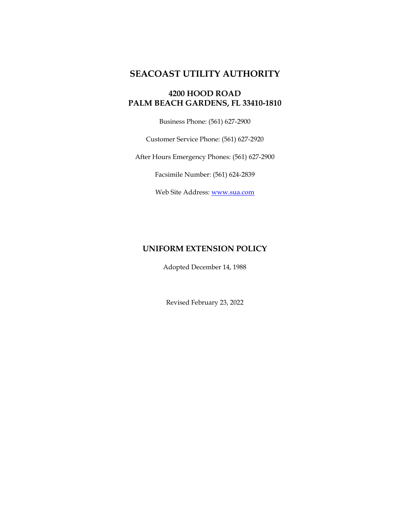# **SEACOAST UTILITY AUTHORITY**

# **4200 HOOD ROAD PALM BEACH GARDENS, FL 33410-1810**

Business Phone: (561) 627-2900

Customer Service Phone: (561) 627-2920

After Hours Emergency Phones: (561) 627-2900

Facsimile Number: (561) 624-2839

Web Site Address: [www.sua.com](http://www.sua.com/)

# **UNIFORM EXTENSION POLICY**

Adopted December 14, 1988

Revised February 23, 2022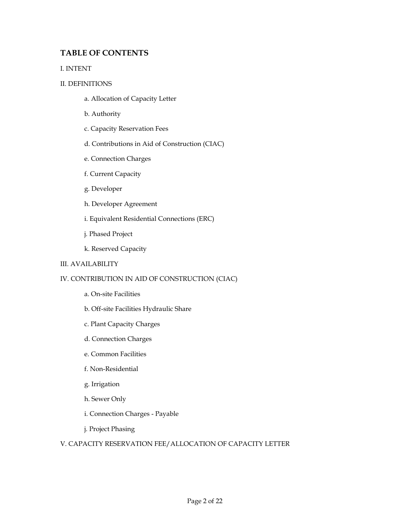# **TABLE OF CONTENTS**

## I. INTENT

## II. DEFINITIONS

- a. Allocation of Capacity Letter
- b. Authority
- c. Capacity Reservation Fees
- d. Contributions in Aid of Construction (CIAC)
- e. Connection Charges
- f. Current Capacity
- g. Developer
- h. Developer Agreement
- i. Equivalent Residential Connections (ERC)
- j. Phased Project
- k. Reserved Capacity

## III. AVAILABILITY

## IV. CONTRIBUTION IN AID OF CONSTRUCTION (CIAC)

- a. On-site Facilities
- b. Off-site Facilities Hydraulic Share
- c. Plant Capacity Charges
- d. Connection Charges
- e. Common Facilities
- f. Non-Residential
- g. Irrigation
- h. Sewer Only
- i. Connection Charges Payable
- j. Project Phasing

## V. CAPACITY RESERVATION FEE/ALLOCATION OF CAPACITY LETTER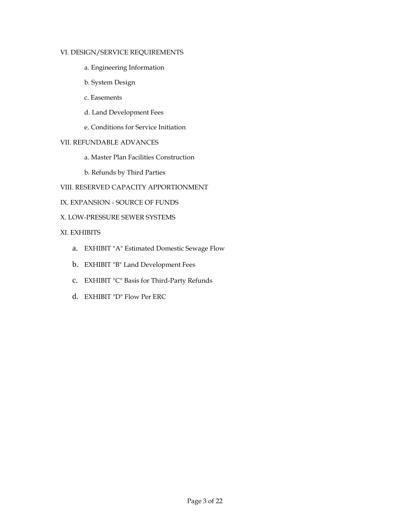### VI. DESIGN/SERVICE REQUIREMENTS

- a. Engineering Information
- b. System Design
- c. Easements
- d. Land Development Fees
- e. Conditions for Service Initiation

## VII. REFUNDABLE ADVANCES

- a. Master Plan Facilities Construction
- b. Refunds by Third Parties
- VIII. RESERVED CAPACITY APPORTIONMENT
- IX. EXPANSION SOURCE OF FUNDS
- X. LOW-PRESSURE SEWER SYSTEMS

## XI. EXHIBITS

- a. EXHIBIT "A" Estimated Domestic Sewage Flow
- b. EXHIBIT "B" Land Development Fees
- c. EXHIBIT "C" Basis for Third-Party Refunds
- d. EXHIBIT "D" Flow Per ERC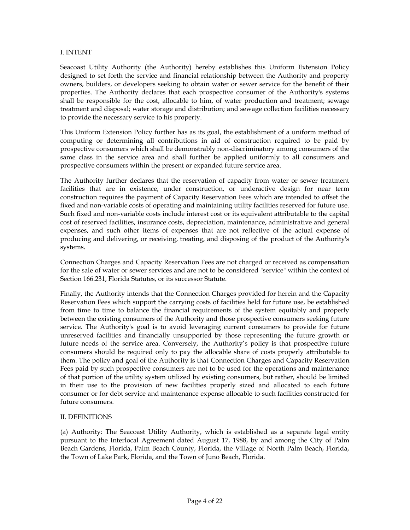#### I. INTENT

Seacoast Utility Authority (the Authority) hereby establishes this Uniform Extension Policy designed to set forth the service and financial relationship between the Authority and property owners, builders, or developers seeking to obtain water or sewer service for the benefit of their properties. The Authority declares that each prospective consumer of the Authority's systems shall be responsible for the cost, allocable to him, of water production and treatment; sewage treatment and disposal; water storage and distribution; and sewage collection facilities necessary to provide the necessary service to his property.

This Uniform Extension Policy further has as its goal, the establishment of a uniform method of computing or determining all contributions in aid of construction required to be paid by prospective consumers which shall be demonstrably non-discriminatory among consumers of the same class in the service area and shall further be applied uniformly to all consumers and prospective consumers within the present or expanded future service area.

The Authority further declares that the reservation of capacity from water or sewer treatment facilities that are in existence, under construction, or underactive design for near term construction requires the payment of Capacity Reservation Fees which are intended to offset the fixed and non-variable costs of operating and maintaining utility facilities reserved for future use. Such fixed and non-variable costs include interest cost or its equivalent attributable to the capital cost of reserved facilities, insurance costs, depreciation, maintenance, administrative and general expenses, and such other items of expenses that are not reflective of the actual expense of producing and delivering, or receiving, treating, and disposing of the product of the Authority's systems.

Connection Charges and Capacity Reservation Fees are not charged or received as compensation for the sale of water or sewer services and are not to be considered "service" within the context of Section 166.231, Florida Statutes, or its successor Statute.

Finally, the Authority intends that the Connection Charges provided for herein and the Capacity Reservation Fees which support the carrying costs of facilities held for future use, be established from time to time to balance the financial requirements of the system equitably and properly between the existing consumers of the Authority and those prospective consumers seeking future service. The Authority's goal is to avoid leveraging current consumers to provide for future unreserved facilities and financially unsupported by those representing the future growth or future needs of the service area. Conversely, the Authority's policy is that prospective future consumers should be required only to pay the allocable share of costs properly attributable to them. The policy and goal of the Authority is that Connection Charges and Capacity Reservation Fees paid by such prospective consumers are not to be used for the operations and maintenance of that portion of the utility system utilized by existing consumers, but rather, should be limited in their use to the provision of new facilities properly sized and allocated to each future consumer or for debt service and maintenance expense allocable to such facilities constructed for future consumers.

#### II. DEFINITIONS

(a) Authority: The Seacoast Utility Authority, which is established as a separate legal entity pursuant to the Interlocal Agreement dated August 17, 1988, by and among the City of Palm Beach Gardens, Florida, Palm Beach County, Florida, the Village of North Palm Beach, Florida, the Town of Lake Park, Florida, and the Town of Juno Beach, Florida.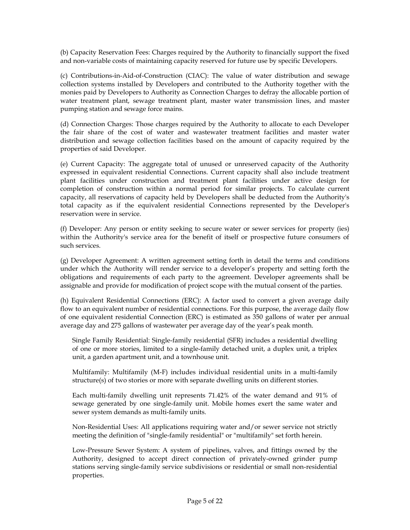(b) Capacity Reservation Fees: Charges required by the Authority to financially support the fixed and non-variable costs of maintaining capacity reserved for future use by specific Developers.

(c) Contributions-in-Aid-of-Construction (CIAC): The value of water distribution and sewage collection systems installed by Developers and contributed to the Authority together with the monies paid by Developers to Authority as Connection Charges to defray the allocable portion of water treatment plant, sewage treatment plant, master water transmission lines, and master pumping station and sewage force mains.

(d) Connection Charges: Those charges required by the Authority to allocate to each Developer the fair share of the cost of water and wastewater treatment facilities and master water distribution and sewage collection facilities based on the amount of capacity required by the properties of said Developer.

(e) Current Capacity: The aggregate total of unused or unreserved capacity of the Authority expressed in equivalent residential Connections. Current capacity shall also include treatment plant facilities under construction and treatment plant facilities under active design for completion of construction within a normal period for similar projects. To calculate current capacity, all reservations of capacity held by Developers shall be deducted from the Authority's total capacity as if the equivalent residential Connections represented by the Developer's reservation were in service.

(f) Developer: Any person or entity seeking to secure water or sewer services for property (ies) within the Authority's service area for the benefit of itself or prospective future consumers of such services.

(g) Developer Agreement: A written agreement setting forth in detail the terms and conditions under which the Authority will render service to a developer's property and setting forth the obligations and requirements of each party to the agreement. Developer agreements shall be assignable and provide for modification of project scope with the mutual consent of the parties.

(h) Equivalent Residential Connections (ERC): A factor used to convert a given average daily flow to an equivalent number of residential connections. For this purpose, the average daily flow of one equivalent residential Connection (ERC) is estimated as 350 gallons of water per annual average day and 275 gallons of wastewater per average day of the year's peak month.

Single Family Residential: Single-family residential (SFR) includes a residential dwelling of one or more stories, limited to a single-family detached unit, a duplex unit, a triplex unit, a garden apartment unit, and a townhouse unit.

Multifamily: Multifamily (M-F) includes individual residential units in a multi-family structure(s) of two stories or more with separate dwelling units on different stories.

Each multi-family dwelling unit represents 71.42% of the water demand and 91% of sewage generated by one single-family unit. Mobile homes exert the same water and sewer system demands as multi-family units.

Non-Residential Uses: All applications requiring water and/or sewer service not strictly meeting the definition of "single-family residential" or "multifamily" set forth herein.

Low-Pressure Sewer System: A system of pipelines, valves, and fittings owned by the Authority, designed to accept direct connection of privately-owned grinder pump stations serving single-family service subdivisions or residential or small non-residential properties.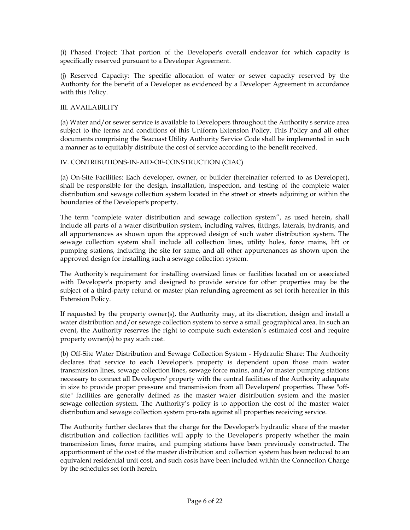(i) Phased Project: That portion of the Developer's overall endeavor for which capacity is specifically reserved pursuant to a Developer Agreement.

(j) Reserved Capacity: The specific allocation of water or sewer capacity reserved by the Authority for the benefit of a Developer as evidenced by a Developer Agreement in accordance with this Policy.

### III. AVAILABILITY

(a) Water and/or sewer service is available to Developers throughout the Authority's service area subject to the terms and conditions of this Uniform Extension Policy. This Policy and all other documents comprising the Seacoast Utility Authority Service Code shall be implemented in such a manner as to equitably distribute the cost of service according to the benefit received.

### IV. CONTRIBUTIONS-IN-AID-OF-CONSTRUCTION (CIAC)

(a) On-Site Facilities: Each developer, owner, or builder (hereinafter referred to as Developer), shall be responsible for the design, installation, inspection, and testing of the complete water distribution and sewage collection system located in the street or streets adjoining or within the boundaries of the Developer's property.

The term "complete water distribution and sewage collection system", as used herein, shall include all parts of a water distribution system, including valves, fittings, laterals, hydrants, and all appurtenances as shown upon the approved design of such water distribution system. The sewage collection system shall include all collection lines, utility holes, force mains, lift or pumping stations, including the site for same, and all other appurtenances as shown upon the approved design for installing such a sewage collection system.

The Authority's requirement for installing oversized lines or facilities located on or associated with Developer's property and designed to provide service for other properties may be the subject of a third-party refund or master plan refunding agreement as set forth hereafter in this Extension Policy.

If requested by the property owner(s), the Authority may, at its discretion, design and install a water distribution and/or sewage collection system to serve a small geographical area. In such an event, the Authority reserves the right to compute such extension's estimated cost and require property owner(s) to pay such cost.

(b) Off-Site Water Distribution and Sewage Collection System - Hydraulic Share: The Authority declares that service to each Developer's property is dependent upon those main water transmission lines, sewage collection lines, sewage force mains, and/or master pumping stations necessary to connect all Developers' property with the central facilities of the Authority adequate in size to provide proper pressure and transmission from all Developers' properties. These "offsite" facilities are generally defined as the master water distribution system and the master sewage collection system. The Authority's policy is to apportion the cost of the master water distribution and sewage collection system pro-rata against all properties receiving service.

The Authority further declares that the charge for the Developer's hydraulic share of the master distribution and collection facilities will apply to the Developer's property whether the main transmission lines, force mains, and pumping stations have been previously constructed. The apportionment of the cost of the master distribution and collection system has been reduced to an equivalent residential unit cost, and such costs have been included within the Connection Charge by the schedules set forth herein.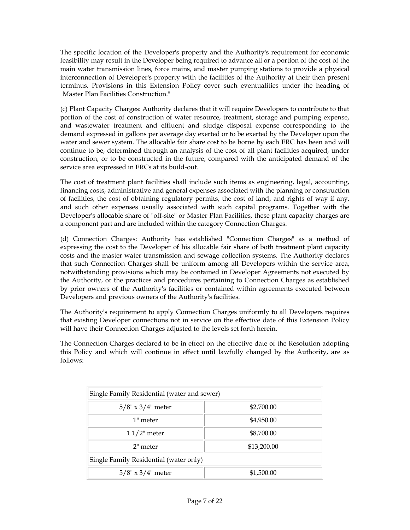The specific location of the Developer's property and the Authority's requirement for economic feasibility may result in the Developer being required to advance all or a portion of the cost of the main water transmission lines, force mains, and master pumping stations to provide a physical interconnection of Developer's property with the facilities of the Authority at their then present terminus. Provisions in this Extension Policy cover such eventualities under the heading of "Master Plan Facilities Construction."

(c) Plant Capacity Charges: Authority declares that it will require Developers to contribute to that portion of the cost of construction of water resource, treatment, storage and pumping expense, and wastewater treatment and effluent and sludge disposal expense corresponding to the demand expressed in gallons per average day exerted or to be exerted by the Developer upon the water and sewer system. The allocable fair share cost to be borne by each ERC has been and will continue to be, determined through an analysis of the cost of all plant facilities acquired, under construction, or to be constructed in the future, compared with the anticipated demand of the service area expressed in ERCs at its build-out.

The cost of treatment plant facilities shall include such items as engineering, legal, accounting, financing costs, administrative and general expenses associated with the planning or construction of facilities, the cost of obtaining regulatory permits, the cost of land, and rights of way if any, and such other expenses usually associated with such capital programs. Together with the Developer's allocable share of "off-site" or Master Plan Facilities, these plant capacity charges are a component part and are included within the category Connection Charges.

(d) Connection Charges: Authority has established "Connection Charges" as a method of expressing the cost to the Developer of his allocable fair share of both treatment plant capacity costs and the master water transmission and sewage collection systems. The Authority declares that such Connection Charges shall be uniform among all Developers within the service area, notwithstanding provisions which may be contained in Developer Agreements not executed by the Authority, or the practices and procedures pertaining to Connection Charges as established by prior owners of the Authority's facilities or contained within agreements executed between Developers and previous owners of the Authority's facilities.

The Authority's requirement to apply Connection Charges uniformly to all Developers requires that existing Developer connections not in service on the effective date of this Extension Policy will have their Connection Charges adjusted to the levels set forth herein.

The Connection Charges declared to be in effect on the effective date of the Resolution adopting this Policy and which will continue in effect until lawfully changed by the Authority, are as follows:

| Single Family Residential (water and sewer) |             |  |
|---------------------------------------------|-------------|--|
| $5/8$ " x 3/4" meter                        | \$2,700.00  |  |
| 1" meter                                    | \$4,950.00  |  |
| $11/2$ " meter                              | \$8,700.00  |  |
| $2th$ meter                                 | \$13,200.00 |  |
| Single Family Residential (water only)      |             |  |
| $5/8" \times 3/4"$ meter                    | \$1,500.00  |  |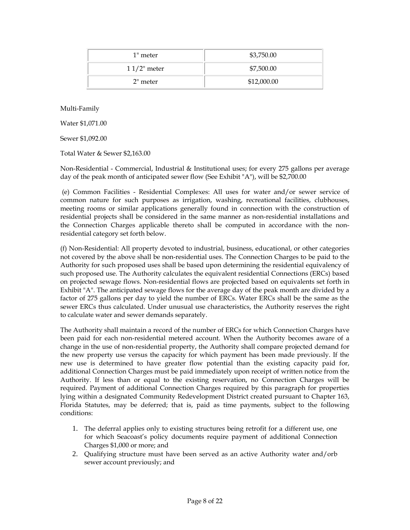| $1$ " meter    | \$3,750.00  |  |
|----------------|-------------|--|
| $11/2$ " meter | \$7,500.00  |  |
| $20$ meter     | \$12,000.00 |  |

Multi-Family

Water \$1,071.00

Sewer \$1,092.00

Total Water & Sewer \$2,163.00

Non-Residential - Commercial, Industrial & Institutional uses; for every 275 gallons per average day of the peak month of anticipated sewer flow (See Exhibit "A"), will be \$2,700.00

(e) Common Facilities - Residential Complexes: All uses for water and/or sewer service of common nature for such purposes as irrigation, washing, recreational facilities, clubhouses, meeting rooms or similar applications generally found in connection with the construction of residential projects shall be considered in the same manner as non-residential installations and the Connection Charges applicable thereto shall be computed in accordance with the nonresidential category set forth below.

(f) Non-Residential: All property devoted to industrial, business, educational, or other categories not covered by the above shall be non-residential uses. The Connection Charges to be paid to the Authority for such proposed uses shall be based upon determining the residential equivalency of such proposed use. The Authority calculates the equivalent residential Connections (ERCs) based on projected sewage flows. Non-residential flows are projected based on equivalents set forth in Exhibit "A". The anticipated sewage flows for the average day of the peak month are divided by a factor of 275 gallons per day to yield the number of ERCs. Water ERCs shall be the same as the sewer ERCs thus calculated. Under unusual use characteristics, the Authority reserves the right to calculate water and sewer demands separately.

The Authority shall maintain a record of the number of ERCs for which Connection Charges have been paid for each non-residential metered account. When the Authority becomes aware of a change in the use of non-residential property, the Authority shall compare projected demand for the new property use versus the capacity for which payment has been made previously. If the new use is determined to have greater flow potential than the existing capacity paid for, additional Connection Charges must be paid immediately upon receipt of written notice from the Authority. If less than or equal to the existing reservation, no Connection Charges will be required. Payment of additional Connection Charges required by this paragraph for properties lying within a designated Community Redevelopment District created pursuant to Chapter 163, Florida Statutes, may be deferred; that is, paid as time payments, subject to the following conditions:

- 1. The deferral applies only to existing structures being retrofit for a different use, one for which Seacoast's policy documents require payment of additional Connection Charges \$1,000 or more; and
- 2. Qualifying structure must have been served as an active Authority water and/orb sewer account previously; and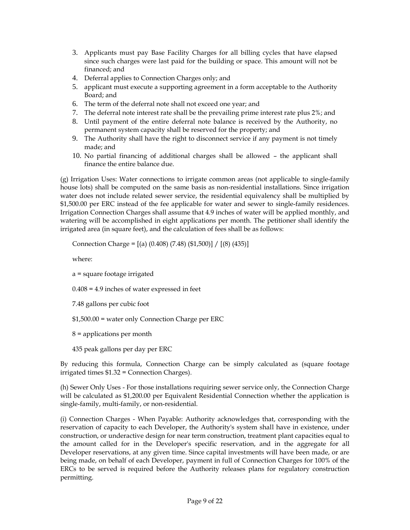- 3. Applicants must pay Base Facility Charges for all billing cycles that have elapsed since such charges were last paid for the building or space. This amount will not be financed; and
- 4. Deferral applies to Connection Charges only; and
- 5. applicant must execute a supporting agreement in a form acceptable to the Authority Board; and
- 6. The term of the deferral note shall not exceed one year; and
- 7. The deferral note interest rate shall be the prevailing prime interest rate plus 2%; and
- 8. Until payment of the entire deferral note balance is received by the Authority, no permanent system capacity shall be reserved for the property; and
- 9. The Authority shall have the right to disconnect service if any payment is not timely made; and
- 10. No partial financing of additional charges shall be allowed the applicant shall finance the entire balance due.

(g) Irrigation Uses: Water connections to irrigate common areas (not applicable to single-family house lots) shall be computed on the same basis as non-residential installations. Since irrigation water does not include related sewer service, the residential equivalency shall be multiplied by \$1,500.00 per ERC instead of the fee applicable for water and sewer to single-family residences. Irrigation Connection Charges shall assume that 4.9 inches of water will be applied monthly, and watering will be accomplished in eight applications per month. The petitioner shall identify the irrigated area (in square feet), and the calculation of fees shall be as follows:

Connection Charge = [(a) (0.408) (7.48) (\$1,500)] / [(8) (435)]

where:

a = square footage irrigated

0.408 = 4.9 inches of water expressed in feet

7.48 gallons per cubic foot

\$1,500.00 = water only Connection Charge per ERC

- 8 = applications per month
- 435 peak gallons per day per ERC

By reducing this formula, Connection Charge can be simply calculated as (square footage irrigated times \$1.32 = Connection Charges).

(h) Sewer Only Uses - For those installations requiring sewer service only, the Connection Charge will be calculated as \$1,200.00 per Equivalent Residential Connection whether the application is single-family, multi-family, or non-residential.

(i) Connection Charges - When Payable: Authority acknowledges that, corresponding with the reservation of capacity to each Developer, the Authority's system shall have in existence, under construction, or underactive design for near term construction, treatment plant capacities equal to the amount called for in the Developer's specific reservation, and in the aggregate for all Developer reservations, at any given time. Since capital investments will have been made, or are being made, on behalf of each Developer, payment in full of Connection Charges for 100% of the ERCs to be served is required before the Authority releases plans for regulatory construction permitting.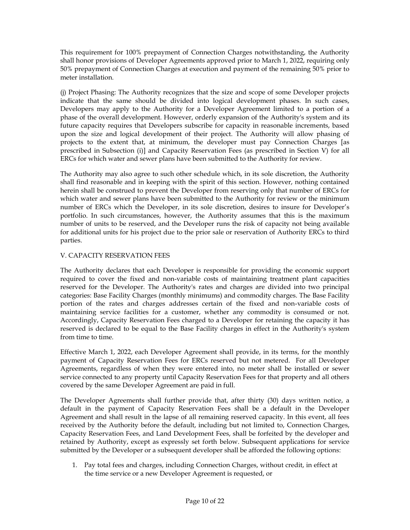This requirement for 100% prepayment of Connection Charges notwithstanding, the Authority shall honor provisions of Developer Agreements approved prior to March 1, 2022, requiring only 50% prepayment of Connection Charges at execution and payment of the remaining 50% prior to meter installation.

(j) Project Phasing: The Authority recognizes that the size and scope of some Developer projects indicate that the same should be divided into logical development phases. In such cases, Developers may apply to the Authority for a Developer Agreement limited to a portion of a phase of the overall development. However, orderly expansion of the Authority's system and its future capacity requires that Developers subscribe for capacity in reasonable increments, based upon the size and logical development of their project. The Authority will allow phasing of projects to the extent that, at minimum, the developer must pay Connection Charges [as prescribed in Subsection (i)] and Capacity Reservation Fees (as prescribed in Section V) for all ERCs for which water and sewer plans have been submitted to the Authority for review.

The Authority may also agree to such other schedule which, in its sole discretion, the Authority shall find reasonable and in keeping with the spirit of this section. However, nothing contained herein shall be construed to prevent the Developer from reserving only that number of ERCs for which water and sewer plans have been submitted to the Authority for review or the minimum number of ERCs which the Developer, in its sole discretion, desires to insure for Developer's portfolio. In such circumstances, however, the Authority assumes that this is the maximum number of units to be reserved, and the Developer runs the risk of capacity not being available for additional units for his project due to the prior sale or reservation of Authority ERCs to third parties.

## V. CAPACITY RESERVATION FEES

The Authority declares that each Developer is responsible for providing the economic support required to cover the fixed and non-variable costs of maintaining treatment plant capacities reserved for the Developer. The Authority's rates and charges are divided into two principal categories: Base Facility Charges (monthly minimums) and commodity charges. The Base Facility portion of the rates and charges addresses certain of the fixed and non-variable costs of maintaining service facilities for a customer, whether any commodity is consumed or not. Accordingly, Capacity Reservation Fees charged to a Developer for retaining the capacity it has reserved is declared to be equal to the Base Facility charges in effect in the Authority's system from time to time.

Effective March 1, 2022, each Developer Agreement shall provide, in its terms, for the monthly payment of Capacity Reservation Fees for ERCs reserved but not metered. For all Developer Agreements, regardless of when they were entered into, no meter shall be installed or sewer service connected to any property until Capacity Reservation Fees for that property and all others covered by the same Developer Agreement are paid in full.

The Developer Agreements shall further provide that, after thirty (30) days written notice, a default in the payment of Capacity Reservation Fees shall be a default in the Developer Agreement and shall result in the lapse of all remaining reserved capacity. In this event, all fees received by the Authority before the default, including but not limited to, Connection Charges, Capacity Reservation Fees, and Land Development Fees, shall be forfeited by the developer and retained by Authority, except as expressly set forth below. Subsequent applications for service submitted by the Developer or a subsequent developer shall be afforded the following options:

1. Pay total fees and charges, including Connection Charges, without credit, in effect at the time service or a new Developer Agreement is requested, or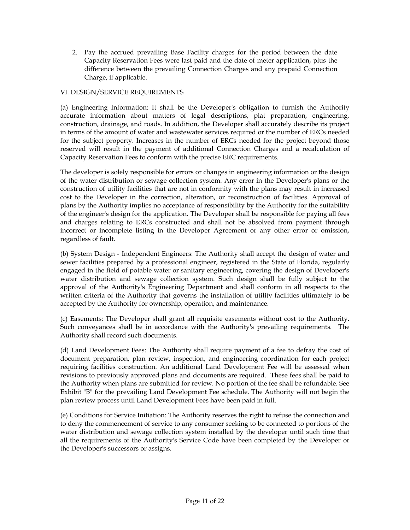2. Pay the accrued prevailing Base Facility charges for the period between the date Capacity Reservation Fees were last paid and the date of meter application, plus the difference between the prevailing Connection Charges and any prepaid Connection Charge, if applicable.

## VI. DESIGN/SERVICE REQUIREMENTS

(a) Engineering Information: It shall be the Developer's obligation to furnish the Authority accurate information about matters of legal descriptions, plat preparation, engineering, construction, drainage, and roads. In addition, the Developer shall accurately describe its project in terms of the amount of water and wastewater services required or the number of ERCs needed for the subject property. Increases in the number of ERCs needed for the project beyond those reserved will result in the payment of additional Connection Charges and a recalculation of Capacity Reservation Fees to conform with the precise ERC requirements.

The developer is solely responsible for errors or changes in engineering information or the design of the water distribution or sewage collection system. Any error in the Developer's plans or the construction of utility facilities that are not in conformity with the plans may result in increased cost to the Developer in the correction, alteration, or reconstruction of facilities. Approval of plans by the Authority implies no acceptance of responsibility by the Authority for the suitability of the engineer's design for the application. The Developer shall be responsible for paying all fees and charges relating to ERCs constructed and shall not be absolved from payment through incorrect or incomplete listing in the Developer Agreement or any other error or omission, regardless of fault.

(b) System Design - Independent Engineers: The Authority shall accept the design of water and sewer facilities prepared by a professional engineer, registered in the State of Florida, regularly engaged in the field of potable water or sanitary engineering, covering the design of Developer's water distribution and sewage collection system. Such design shall be fully subject to the approval of the Authority's Engineering Department and shall conform in all respects to the written criteria of the Authority that governs the installation of utility facilities ultimately to be accepted by the Authority for ownership, operation, and maintenance.

(c) Easements: The Developer shall grant all requisite easements without cost to the Authority. Such conveyances shall be in accordance with the Authority's prevailing requirements. The Authority shall record such documents.

(d) Land Development Fees: The Authority shall require payment of a fee to defray the cost of document preparation, plan review, inspection, and engineering coordination for each project requiring facilities construction. An additional Land Development Fee will be assessed when revisions to previously approved plans and documents are required. These fees shall be paid to the Authority when plans are submitted for review. No portion of the fee shall be refundable. See Exhibit "B" for the prevailing Land Development Fee schedule. The Authority will not begin the plan review process until Land Development Fees have been paid in full.

(e) Conditions for Service Initiation: The Authority reserves the right to refuse the connection and to deny the commencement of service to any consumer seeking to be connected to portions of the water distribution and sewage collection system installed by the developer until such time that all the requirements of the Authority's Service Code have been completed by the Developer or the Developer's successors or assigns.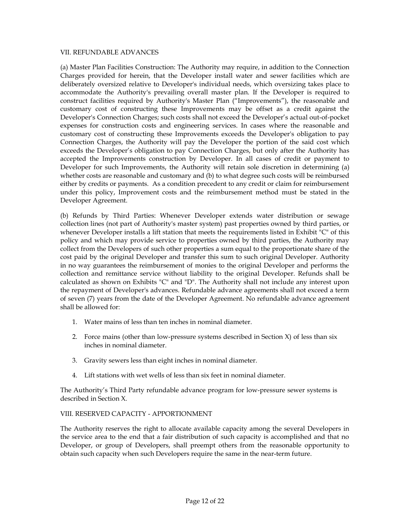#### VII. REFUNDABLE ADVANCES

(a) Master Plan Facilities Construction: The Authority may require, in addition to the Connection Charges provided for herein, that the Developer install water and sewer facilities which are deliberately oversized relative to Developer's individual needs, which oversizing takes place to accommodate the Authority's prevailing overall master plan. If the Developer is required to construct facilities required by Authority's Master Plan ("Improvements"), the reasonable and customary cost of constructing these Improvements may be offset as a credit against the Developer's Connection Charges; such costs shall not exceed the Developer's actual out-of-pocket expenses for construction costs and engineering services. In cases where the reasonable and customary cost of constructing these Improvements exceeds the Developer's obligation to pay Connection Charges, the Authority will pay the Developer the portion of the said cost which exceeds the Developer's obligation to pay Connection Charges, but only after the Authority has accepted the Improvements construction by Developer. In all cases of credit or payment to Developer for such Improvements, the Authority will retain sole discretion in determining (a) whether costs are reasonable and customary and (b) to what degree such costs will be reimbursed either by credits or payments. As a condition precedent to any credit or claim for reimbursement under this policy, Improvement costs and the reimbursement method must be stated in the Developer Agreement.

(b) Refunds by Third Parties: Whenever Developer extends water distribution or sewage collection lines (not part of Authority's master system) past properties owned by third parties, or whenever Developer installs a lift station that meets the requirements listed in Exhibit "C" of this policy and which may provide service to properties owned by third parties, the Authority may collect from the Developers of such other properties a sum equal to the proportionate share of the cost paid by the original Developer and transfer this sum to such original Developer. Authority in no way guarantees the reimbursement of monies to the original Developer and performs the collection and remittance service without liability to the original Developer. Refunds shall be calculated as shown on Exhibits "C" and "D". The Authority shall not include any interest upon the repayment of Developer's advances. Refundable advance agreements shall not exceed a term of seven (7) years from the date of the Developer Agreement. No refundable advance agreement shall be allowed for:

- 1. Water mains of less than ten inches in nominal diameter.
- 2. Force mains (other than low-pressure systems described in Section X) of less than six inches in nominal diameter.
- 3. Gravity sewers less than eight inches in nominal diameter.
- 4. Lift stations with wet wells of less than six feet in nominal diameter.

The Authority's Third Party refundable advance program for low-pressure sewer systems is described in Section X.

## VIII. RESERVED CAPACITY - APPORTIONMENT

The Authority reserves the right to allocate available capacity among the several Developers in the service area to the end that a fair distribution of such capacity is accomplished and that no Developer, or group of Developers, shall preempt others from the reasonable opportunity to obtain such capacity when such Developers require the same in the near-term future.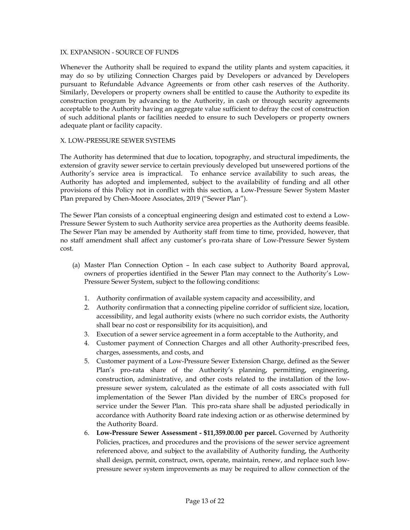#### IX. EXPANSION - SOURCE OF FUNDS

Whenever the Authority shall be required to expand the utility plants and system capacities, it may do so by utilizing Connection Charges paid by Developers or advanced by Developers pursuant to Refundable Advance Agreements or from other cash reserves of the Authority. Similarly, Developers or property owners shall be entitled to cause the Authority to expedite its construction program by advancing to the Authority, in cash or through security agreements acceptable to the Authority having an aggregate value sufficient to defray the cost of construction of such additional plants or facilities needed to ensure to such Developers or property owners adequate plant or facility capacity.

#### X. LOW-PRESSURE SEWER SYSTEMS

The Authority has determined that due to location, topography, and structural impediments, the extension of gravity sewer service to certain previously developed but unsewered portions of the Authority's service area is impractical. To enhance service availability to such areas, the Authority has adopted and implemented, subject to the availability of funding and all other provisions of this Policy not in conflict with this section, a Low-Pressure Sewer System Master Plan prepared by Chen-Moore Associates, 2019 ("Sewer Plan").

The Sewer Plan consists of a conceptual engineering design and estimated cost to extend a Low-Pressure Sewer System to such Authority service area properties as the Authority deems feasible. The Sewer Plan may be amended by Authority staff from time to time, provided, however, that no staff amendment shall affect any customer's pro-rata share of Low-Pressure Sewer System cost.

- (a) Master Plan Connection Option In each case subject to Authority Board approval, owners of properties identified in the Sewer Plan may connect to the Authority's Low-Pressure Sewer System, subject to the following conditions:
	- 1. Authority confirmation of available system capacity and accessibility, and
	- 2. Authority confirmation that a connecting pipeline corridor of sufficient size, location, accessibility, and legal authority exists (where no such corridor exists, the Authority shall bear no cost or responsibility for its acquisition), and
	- 3. Execution of a sewer service agreement in a form acceptable to the Authority, and
	- 4. Customer payment of Connection Charges and all other Authority-prescribed fees, charges, assessments, and costs, and
	- 5. Customer payment of a Low-Pressure Sewer Extension Charge, defined as the Sewer Plan's pro-rata share of the Authority's planning, permitting, engineering, construction, administrative, and other costs related to the installation of the lowpressure sewer system, calculated as the estimate of all costs associated with full implementation of the Sewer Plan divided by the number of ERCs proposed for service under the Sewer Plan. This pro-rata share shall be adjusted periodically in accordance with Authority Board rate indexing action or as otherwise determined by the Authority Board.
	- 6. **Low-Pressure Sewer Assessment - \$11,359.00.00 per parcel.** Governed by Authority Policies, practices, and procedures and the provisions of the sewer service agreement referenced above, and subject to the availability of Authority funding, the Authority shall design, permit, construct, own, operate, maintain, renew, and replace such lowpressure sewer system improvements as may be required to allow connection of the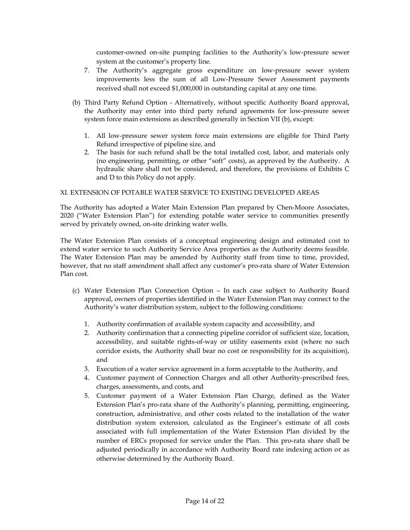customer-owned on-site pumping facilities to the Authority's low-pressure sewer system at the customer's property line.

- 7. The Authority's aggregate gross expenditure on low-pressure sewer system improvements less the sum of all Low-Pressure Sewer Assessment payments received shall not exceed \$1,000,000 in outstanding capital at any one time.
- (b) Third Party Refund Option Alternatively, without specific Authority Board approval, the Authority may enter into third party refund agreements for low-pressure sewer system force main extensions as described generally in Section VII (b), except:
	- 1. All low-pressure sewer system force main extensions are eligible for Third Party Refund irrespective of pipeline size, and
	- 2. The basis for such refund shall be the total installed cost, labor, and materials only (no engineering, permitting, or other "soft" costs), as approved by the Authority. A hydraulic share shall not be considered, and therefore, the provisions of Exhibits C and D to this Policy do not apply.

### XI. EXTENSION OF POTABLE WATER SERVICE TO EXISTING DEVELOPED AREAS

The Authority has adopted a Water Main Extension Plan prepared by Chen-Moore Associates, 2020 ("Water Extension Plan") for extending potable water service to communities presently served by privately owned, on-site drinking water wells.

The Water Extension Plan consists of a conceptual engineering design and estimated cost to extend water service to such Authority Service Area properties as the Authority deems feasible. The Water Extension Plan may be amended by Authority staff from time to time, provided, however, that no staff amendment shall affect any customer's pro-rata share of Water Extension Plan cost.

- (c) Water Extension Plan Connection Option In each case subject to Authority Board approval, owners of properties identified in the Water Extension Plan may connect to the Authority's water distribution system, subject to the following conditions:
	- 1. Authority confirmation of available system capacity and accessibility, and
	- 2. Authority confirmation that a connecting pipeline corridor of sufficient size, location, accessibility, and suitable rights-of-way or utility easements exist (where no such corridor exists, the Authority shall bear no cost or responsibility for its acquisition), and
	- 3. Execution of a water service agreement in a form acceptable to the Authority, and
	- 4. Customer payment of Connection Charges and all other Authority-prescribed fees, charges, assessments, and costs, and
	- 5. Customer payment of a Water Extension Plan Charge, defined as the Water Extension Plan's pro-rata share of the Authority's planning, permitting, engineering, construction, administrative, and other costs related to the installation of the water distribution system extension, calculated as the Engineer's estimate of all costs associated with full implementation of the Water Extension Plan divided by the number of ERCs proposed for service under the Plan. This pro-rata share shall be adjusted periodically in accordance with Authority Board rate indexing action or as otherwise determined by the Authority Board.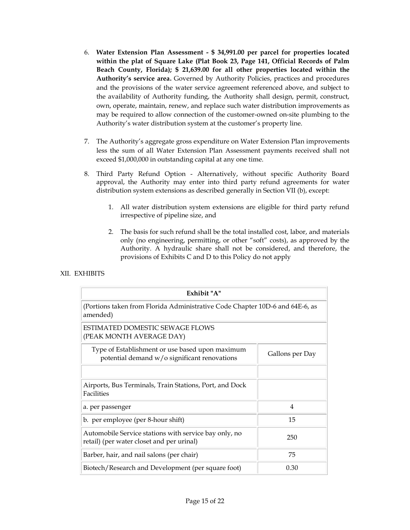- 6. **Water Extension Plan Assessment - \$ 34,991.00 per parcel for properties located within the plat of Square Lake (Plat Book 23, Page 141, Official Records of Palm Beach County, Florida); \$ 21,639.00 for all other properties located within the Authority's service area.** Governed by Authority Policies, practices and procedures and the provisions of the water service agreement referenced above, and subject to the availability of Authority funding, the Authority shall design, permit, construct, own, operate, maintain, renew, and replace such water distribution improvements as may be required to allow connection of the customer-owned on-site plumbing to the Authority's water distribution system at the customer's property line.
- 7. The Authority's aggregate gross expenditure on Water Extension Plan improvements less the sum of all Water Extension Plan Assessment payments received shall not exceed \$1,000,000 in outstanding capital at any one time.
- 8. Third Party Refund Option Alternatively, without specific Authority Board approval, the Authority may enter into third party refund agreements for water distribution system extensions as described generally in Section VII (b), except:
	- 1. All water distribution system extensions are eligible for third party refund irrespective of pipeline size, and
	- 2. The basis for such refund shall be the total installed cost, labor, and materials only (no engineering, permitting, or other "soft" costs), as approved by the Authority. A hydraulic share shall not be considered, and therefore, the provisions of Exhibits C and D to this Policy do not apply

| Exhibit "A"                                                                                        |                 |
|----------------------------------------------------------------------------------------------------|-----------------|
| (Portions taken from Florida Administrative Code Chapter 10D-6 and 64E-6, as<br>amended)           |                 |
| ESTIMATED DOMESTIC SEWAGE FLOWS<br>(PEAK MONTH AVERAGE DAY)                                        |                 |
| Type of Establishment or use based upon maximum<br>potential demand w/o significant renovations    | Gallons per Day |
| Airports, Bus Terminals, Train Stations, Port, and Dock                                            |                 |
| Facilities<br>a. per passenger                                                                     | 4               |
| b. per employee (per 8-hour shift)                                                                 | 15              |
| Automobile Service stations with service bay only, no<br>retail) (per water closet and per urinal) | 250             |
| Barber, hair, and nail salons (per chair)                                                          | 75              |
| Biotech/Research and Development (per square foot)                                                 | 0.30            |

## XII. EXHIBITS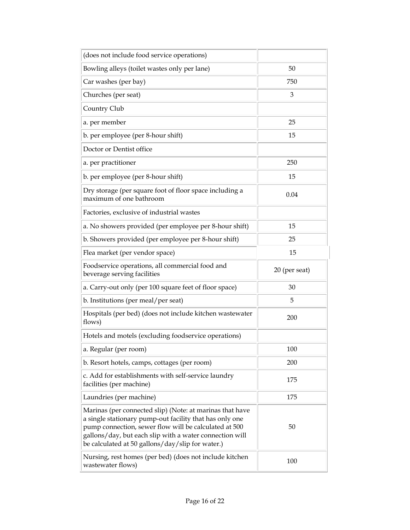| (does not include food service operations)                                                                                                                                                                                                                                                  |               |
|---------------------------------------------------------------------------------------------------------------------------------------------------------------------------------------------------------------------------------------------------------------------------------------------|---------------|
| Bowling alleys (toilet wastes only per lane)                                                                                                                                                                                                                                                | 50            |
| Car washes (per bay)                                                                                                                                                                                                                                                                        | 750           |
| Churches (per seat)                                                                                                                                                                                                                                                                         | 3             |
| Country Club                                                                                                                                                                                                                                                                                |               |
| a. per member                                                                                                                                                                                                                                                                               | 25            |
| b. per employee (per 8-hour shift)                                                                                                                                                                                                                                                          | 15            |
| Doctor or Dentist office                                                                                                                                                                                                                                                                    |               |
| a. per practitioner                                                                                                                                                                                                                                                                         | 250           |
| b. per employee (per 8-hour shift)                                                                                                                                                                                                                                                          | 15            |
| Dry storage (per square foot of floor space including a<br>maximum of one bathroom                                                                                                                                                                                                          | 0.04          |
| Factories, exclusive of industrial wastes                                                                                                                                                                                                                                                   |               |
| a. No showers provided (per employee per 8-hour shift)                                                                                                                                                                                                                                      | 15            |
| b. Showers provided (per employee per 8-hour shift)                                                                                                                                                                                                                                         | 25            |
| Flea market (per vendor space)                                                                                                                                                                                                                                                              | 15            |
|                                                                                                                                                                                                                                                                                             |               |
| Foodservice operations, all commercial food and<br>beverage serving facilities                                                                                                                                                                                                              | 20 (per seat) |
| a. Carry-out only (per 100 square feet of floor space)                                                                                                                                                                                                                                      | 30            |
| b. Institutions (per meal/per seat)                                                                                                                                                                                                                                                         | 5             |
| Hospitals (per bed) (does not include kitchen wastewater<br>flows)                                                                                                                                                                                                                          | 200           |
| Hotels and motels (excluding foodservice operations)                                                                                                                                                                                                                                        |               |
| a. Regular (per room)                                                                                                                                                                                                                                                                       | 100           |
| b. Resort hotels, camps, cottages (per room)                                                                                                                                                                                                                                                | 200           |
| c. Add for establishments with self-service laundry<br>facilities (per machine)                                                                                                                                                                                                             | 175           |
| Laundries (per machine)                                                                                                                                                                                                                                                                     | 175           |
| Marinas (per connected slip) (Note: at marinas that have<br>a single stationary pump-out facility that has only one<br>pump connection, sewer flow will be calculated at 500<br>gallons/day, but each slip with a water connection will<br>be calculated at 50 gallons/day/slip for water.) | 50            |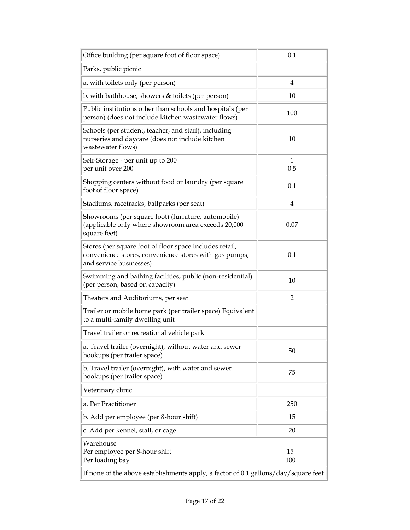| Office building (per square foot of floor space)                                                                                             | 0.1            |  |
|----------------------------------------------------------------------------------------------------------------------------------------------|----------------|--|
| Parks, public picnic                                                                                                                         |                |  |
| a. with toilets only (per person)                                                                                                            | 4              |  |
| b. with bathhouse, showers & toilets (per person)                                                                                            | 10             |  |
| Public institutions other than schools and hospitals (per<br>person) (does not include kitchen wastewater flows)                             | 100            |  |
| Schools (per student, teacher, and staff), including<br>nurseries and daycare (does not include kitchen<br>wastewater flows)                 | 10             |  |
| Self-Storage - per unit up to 200<br>per unit over 200                                                                                       | 1<br>0.5       |  |
| Shopping centers without food or laundry (per square<br>foot of floor space)                                                                 | 0.1            |  |
| Stadiums, racetracks, ballparks (per seat)                                                                                                   | 4              |  |
| Showrooms (per square foot) (furniture, automobile)<br>(applicable only where showroom area exceeds 20,000<br>square feet)                   | 0.07           |  |
| Stores (per square foot of floor space Includes retail,<br>convenience stores, convenience stores with gas pumps,<br>and service businesses) | 0.1            |  |
| Swimming and bathing facilities, public (non-residential)<br>(per person, based on capacity)                                                 | 10             |  |
| Theaters and Auditoriums, per seat                                                                                                           | $\overline{2}$ |  |
| Trailer or mobile home park (per trailer space) Equivalent<br>to a multi-family dwelling unit                                                |                |  |
| Travel trailer or recreational vehicle park                                                                                                  |                |  |
| a. Travel trailer (overnight), without water and sewer<br>hookups (per trailer space)                                                        | 50             |  |
| b. Travel trailer (overnight), with water and sewer<br>hookups (per trailer space)                                                           | 75             |  |
| Veterinary clinic                                                                                                                            |                |  |
| a. Per Practitioner                                                                                                                          | 250            |  |
| b. Add per employee (per 8-hour shift)                                                                                                       | 15             |  |
| c. Add per kennel, stall, or cage                                                                                                            | 20             |  |
| Warehouse<br>Per employee per 8-hour shift<br>Per loading bay                                                                                | 15<br>100      |  |
| If none of the above establishments apply, a factor of 0.1 gallons/day/square feet                                                           |                |  |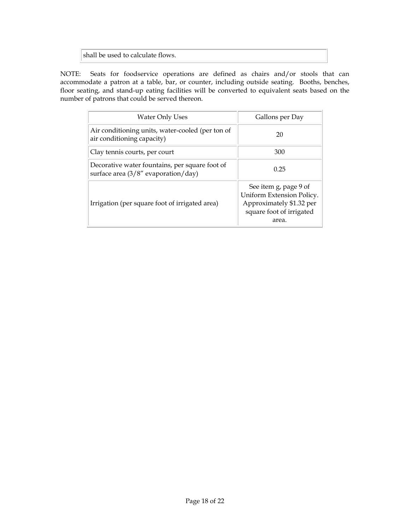shall be used to calculate flows.

NOTE: Seats for foodservice operations are defined as chairs and/or stools that can accommodate a patron at a table, bar, or counter, including outside seating. Booths, benches, floor seating, and stand-up eating facilities will be converted to equivalent seats based on the number of patrons that could be served thereon.

| <b>Water Only Uses</b>                                                                  | Gallons per Day                                                                                                     |  |
|-----------------------------------------------------------------------------------------|---------------------------------------------------------------------------------------------------------------------|--|
| Air conditioning units, water-cooled (per ton of<br>air conditioning capacity)          | 20                                                                                                                  |  |
| Clay tennis courts, per court                                                           | 300                                                                                                                 |  |
| Decorative water fountains, per square foot of<br>surface area $(3/8"$ evaporation/day) | 0.25                                                                                                                |  |
| Irrigation (per square foot of irrigated area)                                          | See item g, page 9 of<br>Uniform Extension Policy.<br>Approximately \$1.32 per<br>square foot of irrigated<br>area. |  |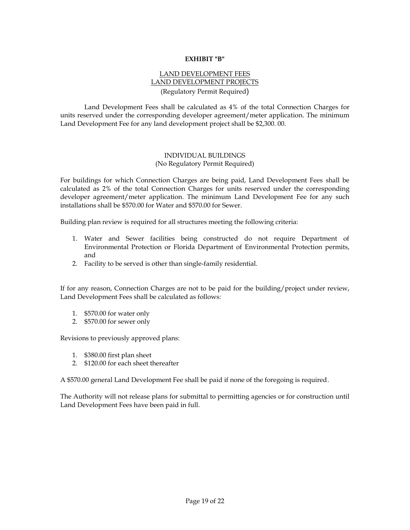#### **EXHIBIT "B"**

## LAND DEVELOPMENT FEES LAND DEVELOPMENT PROJECTS (Regulatory Permit Required)

Land Development Fees shall be calculated as 4% of the total Connection Charges for units reserved under the corresponding developer agreement/meter application. The minimum Land Development Fee for any land development project shall be \$2,300. 00.

## INDIVIDUAL BUILDINGS (No Regulatory Permit Required)

For buildings for which Connection Charges are being paid, Land Development Fees shall be calculated as 2% of the total Connection Charges for units reserved under the corresponding developer agreement/meter application. The minimum Land Development Fee for any such installations shall be \$570.00 for Water and \$570.00 for Sewer.

Building plan review is required for all structures meeting the following criteria:

- 1. Water and Sewer facilities being constructed do not require Department of Environmental Protection or Florida Department of Environmental Protection permits, and
- 2. Facility to be served is other than single-family residential.

If for any reason, Connection Charges are not to be paid for the building/project under review, Land Development Fees shall be calculated as follows:

- 1. \$570.00 for water only
- 2. \$570.00 for sewer only

Revisions to previously approved plans:

- 1. \$380.00 first plan sheet
- 2. \$120.00 for each sheet thereafter

A \$570.00 general Land Development Fee shall be paid if none of the foregoing is required.

The Authority will not release plans for submittal to permitting agencies or for construction until Land Development Fees have been paid in full.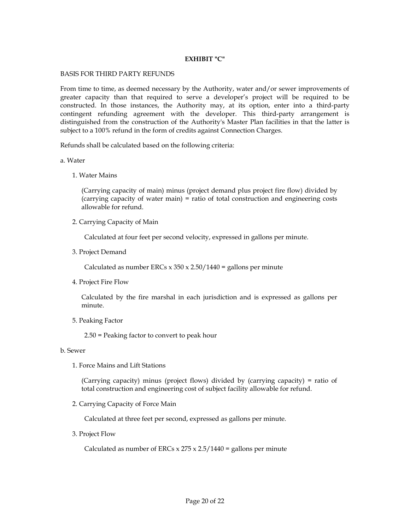#### **EXHIBIT "C"**

#### BASIS FOR THIRD PARTY REFUNDS

From time to time, as deemed necessary by the Authority, water and/or sewer improvements of greater capacity than that required to serve a developer's project will be required to be constructed. In those instances, the Authority may, at its option, enter into a third-party contingent refunding agreement with the developer. This third-party arrangement is distinguished from the construction of the Authority's Master Plan facilities in that the latter is subject to a 100% refund in the form of credits against Connection Charges.

Refunds shall be calculated based on the following criteria:

#### a. Water

1. Water Mains

(Carrying capacity of main) minus (project demand plus project fire flow) divided by (carrying capacity of water main) = ratio of total construction and engineering costs allowable for refund.

2. Carrying Capacity of Main

Calculated at four feet per second velocity, expressed in gallons per minute.

3. Project Demand

Calculated as number ERCs  $x$  350  $x$  2.50/1440 = gallons per minute

4. Project Fire Flow

Calculated by the fire marshal in each jurisdiction and is expressed as gallons per minute.

5. Peaking Factor

2.50 = Peaking factor to convert to peak hour

#### b. Sewer

1. Force Mains and Lift Stations

(Carrying capacity) minus (project flows) divided by (carrying capacity) = ratio of total construction and engineering cost of subject facility allowable for refund.

2. Carrying Capacity of Force Main

Calculated at three feet per second, expressed as gallons per minute.

3. Project Flow

Calculated as number of ERCs  $x$  275  $x$  2.5/1440 = gallons per minute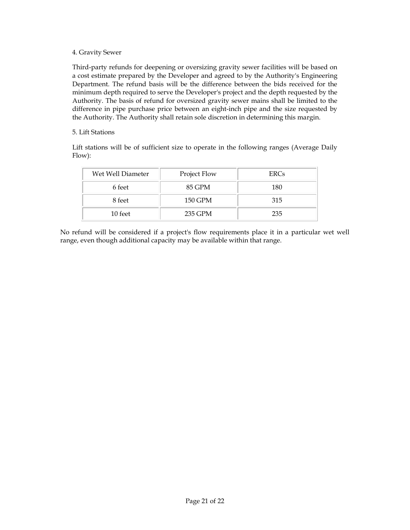### 4. Gravity Sewer

Third-party refunds for deepening or oversizing gravity sewer facilities will be based on a cost estimate prepared by the Developer and agreed to by the Authority's Engineering Department. The refund basis will be the difference between the bids received for the minimum depth required to serve the Developer's project and the depth requested by the Authority. The basis of refund for oversized gravity sewer mains shall be limited to the difference in pipe purchase price between an eight-inch pipe and the size requested by the Authority. The Authority shall retain sole discretion in determining this margin.

### 5. Lift Stations

Lift stations will be of sufficient size to operate in the following ranges (Average Daily Flow):

| Wet Well Diameter | Project Flow | <b>ERCs</b> |
|-------------------|--------------|-------------|
| 6 feet            | 85 GPM       | 180         |
| 8 feet            | 150 GPM      | 315         |
| 10 feet           | 235 GPM      | 235         |

No refund will be considered if a project's flow requirements place it in a particular wet well range, even though additional capacity may be available within that range.